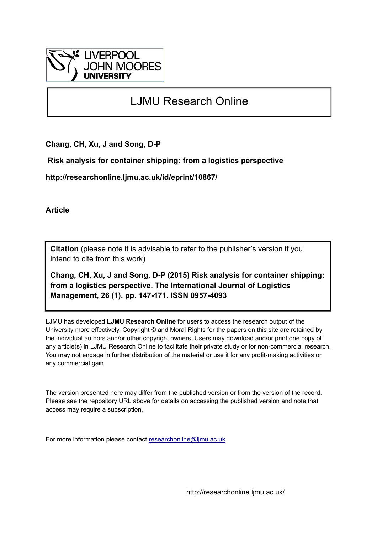

# LJMU Research Online

**Chang, CH, Xu, J and Song, D-P**

 **Risk analysis for container shipping: from a logistics perspective**

**http://researchonline.ljmu.ac.uk/id/eprint/10867/**

**Article**

**Citation** (please note it is advisable to refer to the publisher's version if you intend to cite from this work)

**Chang, CH, Xu, J and Song, D-P (2015) Risk analysis for container shipping: from a logistics perspective. The International Journal of Logistics Management, 26 (1). pp. 147-171. ISSN 0957-4093** 

LJMU has developed **[LJMU Research Online](http://researchonline.ljmu.ac.uk/)** for users to access the research output of the University more effectively. Copyright © and Moral Rights for the papers on this site are retained by the individual authors and/or other copyright owners. Users may download and/or print one copy of any article(s) in LJMU Research Online to facilitate their private study or for non-commercial research. You may not engage in further distribution of the material or use it for any profit-making activities or any commercial gain.

The version presented here may differ from the published version or from the version of the record. Please see the repository URL above for details on accessing the published version and note that access may require a subscription.

For more information please contact [researchonline@ljmu.ac.uk](mailto:researchonline@ljmu.ac.uk)

http://researchonline.ljmu.ac.uk/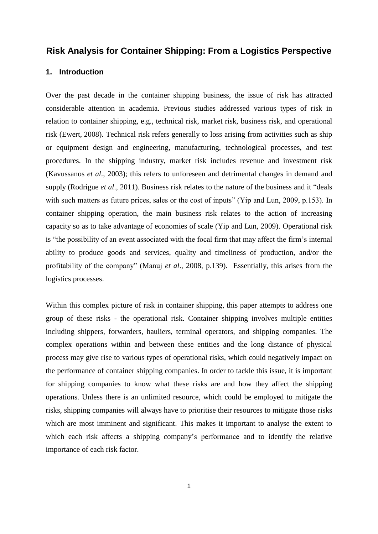## **Risk Analysis for Container Shipping: From a Logistics Perspective**

## **1. Introduction**

Over the past decade in the container shipping business, the issue of risk has attracted considerable attention in academia. Previous studies addressed various types of risk in relation to container shipping, e.g., technical risk, market risk, business risk, and operational risk (Ewert, 2008). Technical risk refers generally to loss arising from activities such as ship or equipment design and engineering, manufacturing, technological processes, and test procedures. In the shipping industry, market risk includes revenue and investment risk (Kavussanos *et al*., 2003); this refers to unforeseen and detrimental changes in demand and supply (Rodrigue *et al*., 2011). Business risk relates to the nature of the business and it "deals with such matters as future prices, sales or the cost of inputs" (Yip and Lun, 2009, p.153). In container shipping operation, the main business risk relates to the action of increasing capacity so as to take advantage of economies of scale (Yip and Lun, 2009). Operational risk is "the possibility of an event associated with the focal firm that may affect the firm's internal ability to produce goods and services, quality and timeliness of production, and/or the profitability of the company" (Manuj *et al*., 2008, p.139). Essentially, this arises from the logistics processes.

Within this complex picture of risk in container shipping, this paper attempts to address one group of these risks - the operational risk. Container shipping involves multiple entities including shippers, forwarders, hauliers, terminal operators, and shipping companies. The complex operations within and between these entities and the long distance of physical process may give rise to various types of operational risks, which could negatively impact on the performance of container shipping companies. In order to tackle this issue, it is important for shipping companies to know what these risks are and how they affect the shipping operations. Unless there is an unlimited resource, which could be employed to mitigate the risks, shipping companies will always have to prioritise their resources to mitigate those risks which are most imminent and significant. This makes it important to analyse the extent to which each risk affects a shipping company's performance and to identify the relative importance of each risk factor.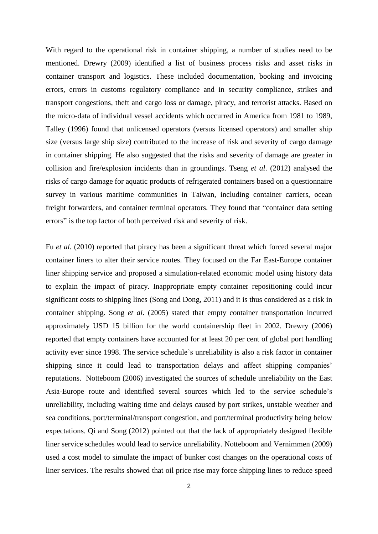With regard to the operational risk in container shipping, a number of studies need to be mentioned. Drewry (2009) identified a list of business process risks and asset risks in container transport and logistics. These included documentation, booking and invoicing errors, errors in customs regulatory compliance and in security compliance, strikes and transport congestions, theft and cargo loss or damage, piracy, and terrorist attacks. Based on the micro-data of individual vessel accidents which occurred in America from 1981 to 1989, Talley (1996) found that unlicensed operators (versus licensed operators) and smaller ship size (versus large ship size) contributed to the increase of risk and severity of cargo damage in container shipping. He also suggested that the risks and severity of damage are greater in collision and fire/explosion incidents than in groundings. Tseng *et al*. (2012) analysed the risks of cargo damage for aquatic products of refrigerated containers based on a questionnaire survey in various maritime communities in Taiwan, including container carriers, ocean freight forwarders, and container terminal operators. They found that "container data setting errors" is the top factor of both perceived risk and severity of risk.

Fu *et al.* (2010) reported that piracy has been a significant threat which forced several major container liners to alter their service routes. They focused on the Far East-Europe container liner shipping service and proposed a simulation-related economic model using history data to explain the impact of piracy. Inappropriate empty container repositioning could incur significant costs to shipping lines (Song and Dong, 2011) and it is thus considered as a risk in container shipping. Song *et al*. (2005) stated that empty container transportation incurred approximately USD 15 billion for the world containership fleet in 2002. Drewry (2006) reported that empty containers have accounted for at least 20 per cent of global port handling activity ever since 1998. The service schedule's unreliability is also a risk factor in container shipping since it could lead to transportation delays and affect shipping companies' reputations. Notteboom (2006) investigated the sources of schedule unreliability on the East Asia-Europe route and identified several sources which led to the service schedule's unreliability, including waiting time and delays caused by port strikes, unstable weather and sea conditions, port/terminal/transport congestion, and port/terminal productivity being below expectations. Qi and Song (2012) pointed out that the lack of appropriately designed flexible liner service schedules would lead to service unreliability. Notteboom and Vernimmen (2009) used a cost model to simulate the impact of bunker cost changes on the operational costs of liner services. The results showed that oil price rise may force shipping lines to reduce speed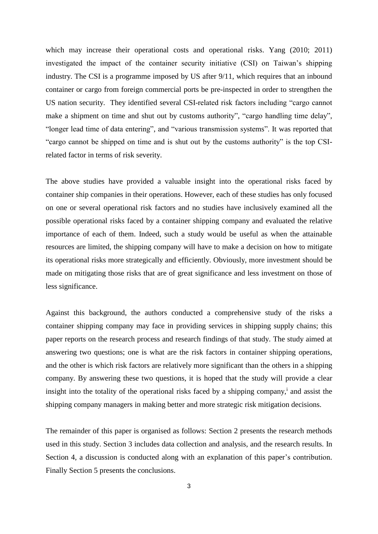which may increase their operational costs and operational risks. Yang (2010; 2011) investigated the impact of the container security initiative (CSI) on Taiwan's shipping industry. The CSI is a programme imposed by US after 9/11, which requires that an inbound container or cargo from foreign commercial ports be pre-inspected in order to strengthen the US nation security. They identified several CSI-related risk factors including "cargo cannot make a shipment on time and shut out by customs authority", "cargo handling time delay", "longer lead time of data entering", and "various transmission systems". It was reported that "cargo cannot be shipped on time and is shut out by the customs authority" is the top CSIrelated factor in terms of risk severity.

The above studies have provided a valuable insight into the operational risks faced by container ship companies in their operations. However, each of these studies has only focused on one or several operational risk factors and no studies have inclusively examined all the possible operational risks faced by a container shipping company and evaluated the relative importance of each of them. Indeed, such a study would be useful as when the attainable resources are limited, the shipping company will have to make a decision on how to mitigate its operational risks more strategically and efficiently. Obviously, more investment should be made on mitigating those risks that are of great significance and less investment on those of less significance.

Against this background, the authors conducted a comprehensive study of the risks a container shipping company may face in providing services in shipping supply chains; this paper reports on the research process and research findings of that study. The study aimed at answering two questions; one is what are the risk factors in container shipping operations, and the other is which risk factors are relatively more significant than the others in a shipping company. By answering these two questions, it is hoped that the study will provide a clear insight into the totality of the operational risks faced by a shipping company,<sup>i</sup> and assist the shipping company managers in making better and more strategic risk mitigation decisions.

The remainder of this paper is organised as follows: Section 2 presents the research methods used in this study. Section 3 includes data collection and analysis, and the research results. In Section 4, a discussion is conducted along with an explanation of this paper's contribution. Finally Section 5 presents the conclusions.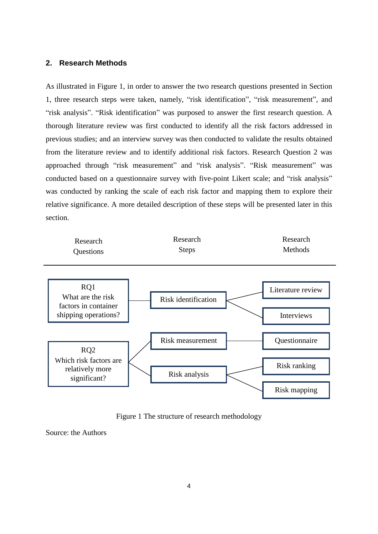## **2. Research Methods**

As illustrated in Figure 1, in order to answer the two research questions presented in Section 1, three research steps were taken, namely, "risk identification", "risk measurement", and "risk analysis". "Risk identification" was purposed to answer the first research question. A thorough literature review was first conducted to identify all the risk factors addressed in previous studies; and an interview survey was then conducted to validate the results obtained from the literature review and to identify additional risk factors. Research Question 2 was approached through "risk measurement" and "risk analysis". "Risk measurement" was conducted based on a questionnaire survey with five-point Likert scale; and "risk analysis" was conducted by ranking the scale of each risk factor and mapping them to explore their relative significance. A more detailed description of these steps will be presented later in this section.





Source: the Authors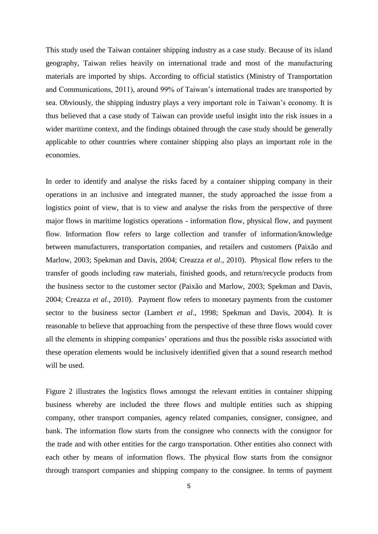This study used the Taiwan container shipping industry as a case study. Because of its island geography, Taiwan relies heavily on international trade and most of the manufacturing materials are imported by ships. According to official statistics (Ministry of Transportation and Communications, 2011), around 99% of Taiwan's international trades are transported by sea. Obviously, the shipping industry plays a very important role in Taiwan's economy. It is thus believed that a case study of Taiwan can provide useful insight into the risk issues in a wider maritime context, and the findings obtained through the case study should be generally applicable to other countries where container shipping also plays an important role in the economies.

In order to identify and analyse the risks faced by a container shipping company in their operations in an inclusive and integrated manner, the study approached the issue from a logistics point of view, that is to view and analyse the risks from the perspective of three major flows in maritime logistics operations - information flow, physical flow, and payment flow. Information flow refers to large collection and transfer of information/knowledge between manufacturers, transportation companies, and retailers and customers (Paixão and Marlow, 2003; Spekman and Davis, 2004; Creazza *et al*., 2010). Physical flow refers to the transfer of goods including raw materials, finished goods, and return/recycle products from the business sector to the customer sector (Paixão and Marlow, 2003; Spekman and Davis, 2004; Creazza *et al*., 2010). Payment flow refers to monetary payments from the customer sector to the business sector (Lambert *et al*., 1998; Spekman and Davis, 2004). It is reasonable to believe that approaching from the perspective of these three flows would cover all the elements in shipping companies' operations and thus the possible risks associated with these operation elements would be inclusively identified given that a sound research method will be used.

Figure 2 illustrates the logistics flows amongst the relevant entities in container shipping business whereby are included the three flows and multiple entities such as shipping company, other transport companies, agency related companies, consigner, consignee, and bank. The information flow starts from the consignee who connects with the consignor for the trade and with other entities for the cargo transportation. Other entities also connect with each other by means of information flows. The physical flow starts from the consignor through transport companies and shipping company to the consignee. In terms of payment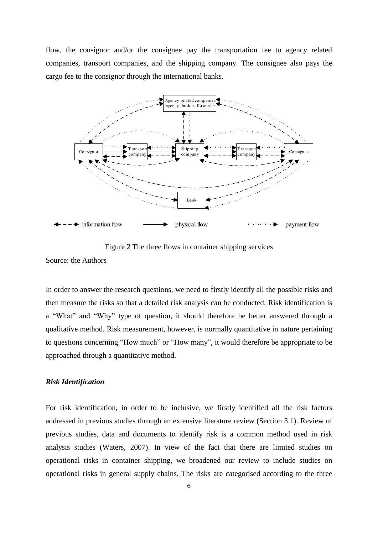flow, the consignor and/or the consignee pay the transportation fee to agency related companies, transport companies, and the shipping company. The consignee also pays the cargo fee to the consignor through the international banks.



Figure 2 The three flows in container shipping services

Source: the Authors

In order to answer the research questions, we need to firstly identify all the possible risks and then measure the risks so that a detailed risk analysis can be conducted. Risk identification is a "What" and "Why" type of question, it should therefore be better answered through a qualitative method. Risk measurement, however, is normally quantitative in nature pertaining to questions concerning "How much" or "How many", it would therefore be appropriate to be approached through a quantitative method.

## *Risk Identification*

For risk identification, in order to be inclusive, we firstly identified all the risk factors addressed in previous studies through an extensive literature review (Section 3.1). Review of previous studies, data and documents to identify risk is a common method used in risk analysis studies (Waters, 2007). In view of the fact that there are limited studies on operational risks in container shipping, we broadened our review to include studies on operational risks in general supply chains. The risks are categorised according to the three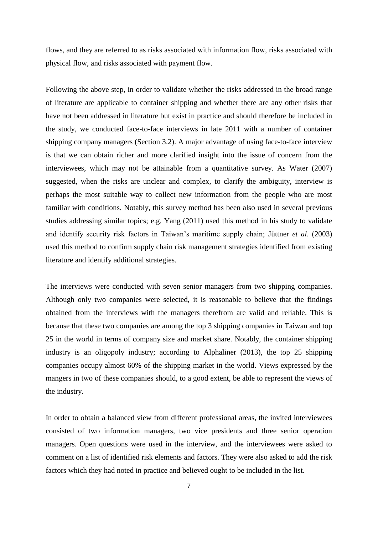flows, and they are referred to as risks associated with information flow, risks associated with physical flow, and risks associated with payment flow.

Following the above step, in order to validate whether the risks addressed in the broad range of literature are applicable to container shipping and whether there are any other risks that have not been addressed in literature but exist in practice and should therefore be included in the study, we conducted face-to-face interviews in late 2011 with a number of container shipping company managers (Section 3.2). A major advantage of using face-to-face interview is that we can obtain richer and more clarified insight into the issue of concern from the interviewees, which may not be attainable from a quantitative survey. As Water (2007) suggested, when the risks are unclear and complex, to clarify the ambiguity, interview is perhaps the most suitable way to collect new information from the people who are most familiar with conditions. Notably, this survey method has been also used in several previous studies addressing similar topics; e.g. Yang (2011) used this method in his study to validate and identify security risk factors in Taiwan's maritime supply chain; Jüttner *et al*. (2003) used this method to confirm supply chain risk management strategies identified from existing literature and identify additional strategies.

The interviews were conducted with seven senior managers from two shipping companies. Although only two companies were selected, it is reasonable to believe that the findings obtained from the interviews with the managers therefrom are valid and reliable. This is because that these two companies are among the top 3 shipping companies in Taiwan and top 25 in the world in terms of company size and market share. Notably, the container shipping industry is an oligopoly industry; according to Alphaliner (2013), the top 25 shipping companies occupy almost 60% of the shipping market in the world. Views expressed by the mangers in two of these companies should, to a good extent, be able to represent the views of the industry.

In order to obtain a balanced view from different professional areas, the invited interviewees consisted of two information managers, two vice presidents and three senior operation managers. Open questions were used in the interview, and the interviewees were asked to comment on a list of identified risk elements and factors. They were also asked to add the risk factors which they had noted in practice and believed ought to be included in the list.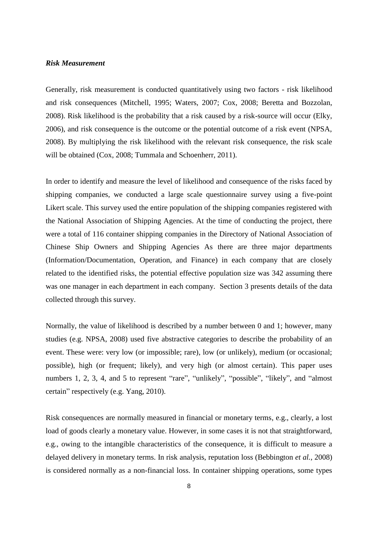#### *Risk Measurement*

Generally, risk measurement is conducted quantitatively using two factors - risk likelihood and risk consequences (Mitchell, 1995; Waters, 2007; Cox, 2008; Beretta and Bozzolan, 2008). Risk likelihood is the probability that a risk caused by a risk-source will occur (Elky, 2006), and risk consequence is the outcome or the potential outcome of a risk event (NPSA, 2008). By multiplying the risk likelihood with the relevant risk consequence, the risk scale will be obtained (Cox, 2008; Tummala and Schoenherr, 2011).

In order to identify and measure the level of likelihood and consequence of the risks faced by shipping companies, we conducted a large scale questionnaire survey using a five-point Likert scale. This survey used the entire population of the shipping companies registered with the National Association of Shipping Agencies. At the time of conducting the project, there were a total of 116 container shipping companies in the Directory of National Association of Chinese Ship Owners and Shipping Agencies As there are three major departments (Information/Documentation, Operation, and Finance) in each company that are closely related to the identified risks, the potential effective population size was 342 assuming there was one manager in each department in each company. Section 3 presents details of the data collected through this survey.

Normally, the value of likelihood is described by a number between 0 and 1; however, many studies (e.g. NPSA, 2008) used five abstractive categories to describe the probability of an event. These were: very low (or impossible; rare), low (or unlikely), medium (or occasional; possible), high (or frequent; likely), and very high (or almost certain). This paper uses numbers 1, 2, 3, 4, and 5 to represent "rare", "unlikely", "possible", "likely", and "almost certain" respectively (e.g. Yang, 2010).

Risk consequences are normally measured in financial or monetary terms, e.g., clearly, a lost load of goods clearly a monetary value. However, in some cases it is not that straightforward, e.g., owing to the intangible characteristics of the consequence, it is difficult to measure a delayed delivery in monetary terms. In risk analysis, reputation loss (Bebbington *et al.*, 2008) is considered normally as a non-financial loss. In container shipping operations, some types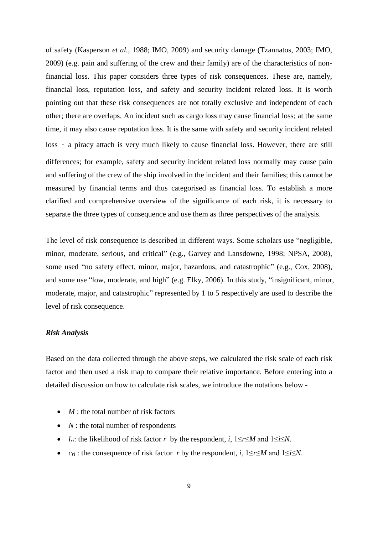of safety (Kasperson *et al.*, 1988; IMO, 2009) and security damage (Tzannatos, 2003; IMO, 2009) (e.g. pain and suffering of the crew and their family) are of the characteristics of nonfinancial loss. This paper considers three types of risk consequences. These are, namely, financial loss, reputation loss, and safety and security incident related loss. It is worth pointing out that these risk consequences are not totally exclusive and independent of each other; there are overlaps. An incident such as cargo loss may cause financial loss; at the same time, it may also cause reputation loss. It is the same with safety and security incident related loss - a piracy attach is very much likely to cause financial loss. However, there are still differences; for example, safety and security incident related loss normally may cause pain and suffering of the crew of the ship involved in the incident and their families; this cannot be measured by financial terms and thus categorised as financial loss. To establish a more clarified and comprehensive overview of the significance of each risk, it is necessary to separate the three types of consequence and use them as three perspectives of the analysis.

The level of risk consequence is described in different ways. Some scholars use "negligible, minor, moderate, serious, and critical" (e.g., Garvey and Lansdowne, 1998; NPSA, 2008), some used "no safety effect, minor, major, hazardous, and catastrophic" (e.g., Cox, 2008), and some use "low, moderate, and high" (e.g. Elky, 2006). In this study, "insignificant, minor, moderate, major, and catastrophic" represented by 1 to 5 respectively are used to describe the level of risk consequence.

#### *Risk Analysis*

Based on the data collected through the above steps, we calculated the risk scale of each risk factor and then used a risk map to compare their relative importance. Before entering into a detailed discussion on how to calculate risk scales, we introduce the notations below -

- *M* : the total number of risk factors
- *N* : the total number of respondents
- *lri*: the likelihood of risk factor *r* by the respondent, *i*, 1≤*r*≤*M* and 1≤*i*≤*N*.
- $c_{ri}$ : the consequence of risk factor *r* by the respondent, *i*, 1≤*r*≤*M* and 1≤*i*≤*N*.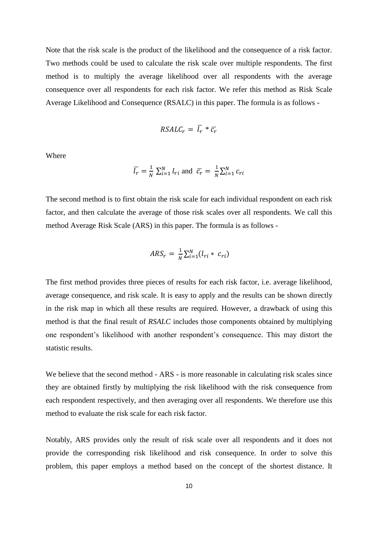Note that the risk scale is the product of the likelihood and the consequence of a risk factor. Two methods could be used to calculate the risk scale over multiple respondents. The first method is to multiply the average likelihood over all respondents with the average consequence over all respondents for each risk factor. We refer this method as Risk Scale Average Likelihood and Consequence (RSALC) in this paper. The formula is as follows -

$$
RSALC_r = \overline{l_r} * \overline{c_r}
$$

Where

$$
\overline{l_r} = \frac{1}{N} \sum_{i=1}^{N} l_{ri} \text{ and } \overline{c_r} = \frac{1}{N} \sum_{i=1}^{N} c_{ri}
$$

The second method is to first obtain the risk scale for each individual respondent on each risk factor, and then calculate the average of those risk scales over all respondents. We call this method Average Risk Scale (ARS) in this paper. The formula is as follows -

$$
ARS_r = \frac{1}{N} \sum_{i=1}^{N} (l_{ri} * c_{ri})
$$

The first method provides three pieces of results for each risk factor, i.e. average likelihood, average consequence, and risk scale. It is easy to apply and the results can be shown directly in the risk map in which all these results are required. However, a drawback of using this method is that the final result of *RSALC* includes those components obtained by multiplying one respondent's likelihood with another respondent's consequence. This may distort the statistic results.

We believe that the second method - ARS - is more reasonable in calculating risk scales since they are obtained firstly by multiplying the risk likelihood with the risk consequence from each respondent respectively, and then averaging over all respondents. We therefore use this method to evaluate the risk scale for each risk factor.

Notably, ARS provides only the result of risk scale over all respondents and it does not provide the corresponding risk likelihood and risk consequence. In order to solve this problem, this paper employs a method based on the concept of the shortest distance. It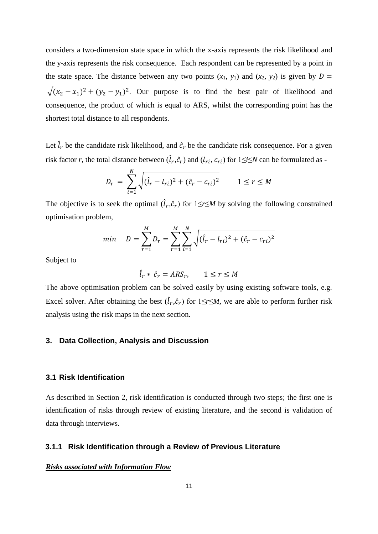considers a two-dimension state space in which the x-axis represents the risk likelihood and the y-axis represents the risk consequence. Each respondent can be represented by a point in the state space. The distance between any two points  $(x_1, y_1)$  and  $(x_2, y_2)$  is given by  $D =$  $\sqrt{(x_2 - x_1)^2 + (y_2 - y_1)^2}$ . Our purpose is to find the best pair of likelihood and consequence, the product of which is equal to ARS, whilst the corresponding point has the shortest total distance to all respondents.

Let  $\hat{l}_r$  be the candidate risk likelihood, and  $\hat{c}_r$  be the candidate risk consequence. For a given risk factor *r*, the total distance between  $(\hat{l}_r, \hat{c}_r)$  and  $(l_{ri}, c_{ri})$  for  $1 \le i \le N$  can be formulated as -

$$
D_r = \sum_{i=1}^{N} \sqrt{(\hat{l}_r - l_{ri})^2 + (\hat{c}_r - c_{ri})^2} \qquad 1 \le r \le M
$$

The objective is to seek the optimal  $(\hat{l}_r, \hat{c}_r)$  for  $1 \le r \le M$  by solving the following constrained optimisation problem,

$$
min \quad D = \sum_{r=1}^{M} D_r = \sum_{r=1}^{M} \sum_{i=1}^{N} \sqrt{(\hat{l}_r - l_{ri})^2 + (\hat{c}_r - c_{ri})^2}
$$

Subject to

$$
\hat{l}_r * \hat{c}_r = ARS_r, \qquad 1 \le r \le M
$$

The above optimisation problem can be solved easily by using existing software tools, e.g. Excel solver. After obtaining the best  $(\hat{l}_r, \hat{c}_r)$  for  $1 \le r \le M$ , we are able to perform further risk analysis using the risk maps in the next section.

## **3. Data Collection, Analysis and Discussion**

#### **3.1 Risk Identification**

As described in Section 2, risk identification is conducted through two steps; the first one is identification of risks through review of existing literature, and the second is validation of data through interviews.

#### **3.1.1 Risk Identification through a Review of Previous Literature**

#### *Risks associated with Information Flow*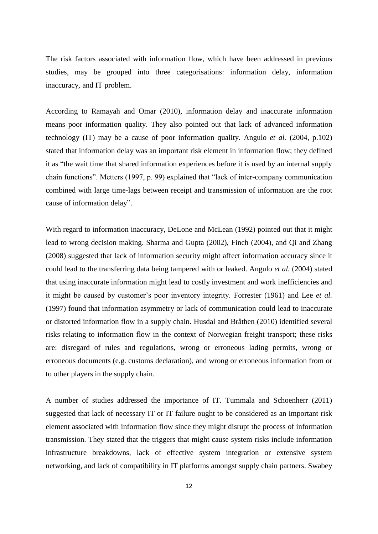The risk factors associated with information flow, which have been addressed in previous studies, may be grouped into three categorisations: information delay, information inaccuracy, and IT problem.

According to Ramayah and Omar (2010), information delay and inaccurate information means poor information quality. They also pointed out that lack of advanced information technology (IT) may be a cause of poor information quality. Angulo *et al.* (2004, p.102) stated that information delay was an important risk element in information flow; they defined it as "the wait time that shared information experiences before it is used by an internal supply chain functions". Metters (1997, p. 99) explained that "lack of inter-company communication combined with large time-lags between receipt and transmission of information are the root cause of information delay".

With regard to information inaccuracy, DeLone and McLean (1992) pointed out that it might lead to wrong decision making. Sharma and Gupta (2002), Finch (2004), and Qi and Zhang (2008) suggested that lack of information security might affect information accuracy since it could lead to the transferring data being tampered with or leaked. Angulo *et al.* (2004) stated that using inaccurate information might lead to costly investment and work inefficiencies and it might be caused by customer's poor inventory integrity. Forrester (1961) and Lee *et al.* (1997) found that information asymmetry or lack of communication could lead to inaccurate or distorted information flow in a supply chain. Husdal and Bråthen (2010) identified several risks relating to information flow in the context of Norwegian freight transport; these risks are: disregard of rules and regulations, wrong or erroneous lading permits, wrong or erroneous documents (e.g. customs declaration), and wrong or erroneous information from or to other players in the supply chain.

A number of studies addressed the importance of IT. Tummala and Schoenherr (2011) suggested that lack of necessary IT or IT failure ought to be considered as an important risk element associated with information flow since they might disrupt the process of information transmission. They stated that the triggers that might cause system risks include information infrastructure breakdowns, lack of effective system integration or extensive system networking, and lack of compatibility in IT platforms amongst supply chain partners. Swabey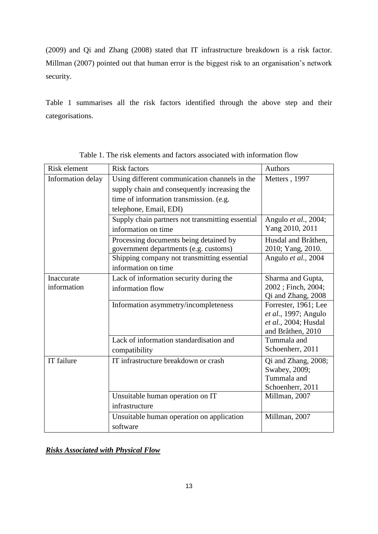(2009) and Qi and Zhang (2008) stated that IT infrastructure breakdown is a risk factor. Millman (2007) pointed out that human error is the biggest risk to an organisation's network security.

Table 1 summarises all the risk factors identified through the above step and their categorisations.

| <b>Risk element</b> | <b>Risk factors</b>                                                             | <b>Authors</b>                               |  |
|---------------------|---------------------------------------------------------------------------------|----------------------------------------------|--|
| Information delay   | Using different communication channels in the                                   | Metters, 1997                                |  |
|                     | supply chain and consequently increasing the                                    |                                              |  |
|                     | time of information transmission. (e.g.                                         |                                              |  |
|                     | telephone, Email, EDI)                                                          |                                              |  |
|                     | Supply chain partners not transmitting essential                                | Angulo et al., 2004;                         |  |
|                     | information on time                                                             | Yang 2010, 2011                              |  |
|                     | Processing documents being detained by<br>government departments (e.g. customs) | Husdal and Bråthen,<br>2010; Yang, 2010.     |  |
|                     | Shipping company not transmitting essential                                     | Angulo et al., 2004                          |  |
|                     | information on time                                                             |                                              |  |
| Inaccurate          | Lack of information security during the                                         | Sharma and Gupta,                            |  |
| information         | information flow                                                                | 2002; Finch, 2004;                           |  |
|                     |                                                                                 | Qi and Zhang, 2008                           |  |
|                     | Information asymmetry/incompleteness                                            | Forrester, 1961; Lee                         |  |
|                     |                                                                                 | et al., 1997; Angulo<br>et al., 2004; Husdal |  |
|                     |                                                                                 | and Bråthen, 2010                            |  |
|                     | Lack of information standardisation and                                         | Tummala and                                  |  |
|                     | compatibility                                                                   | Schoenherr, 2011                             |  |
| IT failure          | IT infrastructure breakdown or crash                                            | Qi and Zhang, 2008;                          |  |
|                     |                                                                                 | Swabey, 2009;                                |  |
|                     |                                                                                 | Tummala and                                  |  |
|                     |                                                                                 | Schoenherr, 2011                             |  |
|                     | Unsuitable human operation on IT                                                | Millman, 2007                                |  |
|                     | infrastructure                                                                  |                                              |  |
|                     | Unsuitable human operation on application                                       | Millman, 2007                                |  |
|                     | software                                                                        |                                              |  |

Table 1. The risk elements and factors associated with information flow

*Risks Associated with Physical Flow*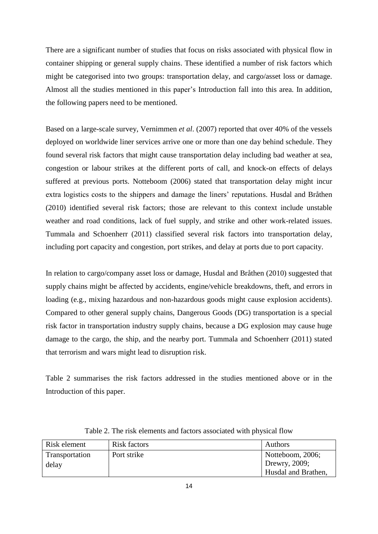There are a significant number of studies that focus on risks associated with physical flow in container shipping or general supply chains. These identified a number of risk factors which might be categorised into two groups: transportation delay, and cargo/asset loss or damage. Almost all the studies mentioned in this paper's Introduction fall into this area. In addition, the following papers need to be mentioned.

Based on a large-scale survey, Vernimmen *et al*. (2007) reported that over 40% of the vessels deployed on worldwide liner services arrive one or more than one day behind schedule. They found several risk factors that might cause transportation delay including bad weather at sea, congestion or labour strikes at the different ports of call, and knock-on effects of delays suffered at previous ports. Notteboom (2006) stated that transportation delay might incur extra logistics costs to the shippers and damage the liners' reputations. Husdal and Bråthen (2010) identified several risk factors; those are relevant to this context include unstable weather and road conditions, lack of fuel supply, and strike and other work-related issues. Tummala and Schoenherr (2011) classified several risk factors into transportation delay, including port capacity and congestion, port strikes, and delay at ports due to port capacity.

In relation to cargo/company asset loss or damage, Husdal and Bråthen (2010) suggested that supply chains might be affected by accidents, engine/vehicle breakdowns, theft, and errors in loading (e.g., mixing hazardous and non-hazardous goods might cause explosion accidents). Compared to other general supply chains, Dangerous Goods (DG) transportation is a special risk factor in transportation industry supply chains, because a DG explosion may cause huge damage to the cargo, the ship, and the nearby port. Tummala and Schoenherr (2011) stated that terrorism and wars might lead to disruption risk.

Table 2 summarises the risk factors addressed in the studies mentioned above or in the Introduction of this paper.

| Risk element   | Risk factors | <b>Authors</b>      |
|----------------|--------------|---------------------|
| Transportation | Port strike  | Notteboom, 2006;    |
| delay          |              | Drewry, $2009$ ;    |
|                |              | Husdal and Brathen, |

Table 2. The risk elements and factors associated with physical flow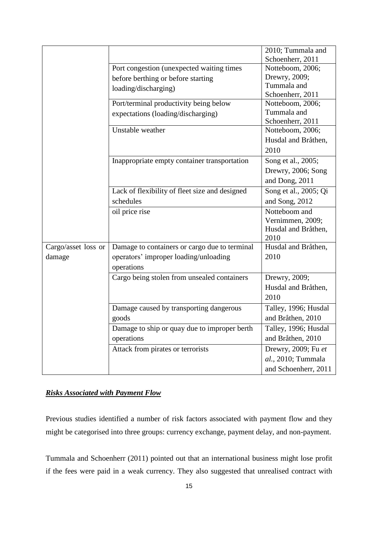|                     |                                                | 2010; Tummala and<br>Schoenherr, 2011 |  |  |
|---------------------|------------------------------------------------|---------------------------------------|--|--|
|                     | Port congestion (unexpected waiting times      | Notteboom, 2006;                      |  |  |
|                     |                                                | Drewry, 2009;                         |  |  |
|                     | before berthing or before starting             | Tummala and                           |  |  |
|                     | loading/discharging)                           | Schoenherr, 2011                      |  |  |
|                     | Port/terminal productivity being below         | Notteboom, 2006;                      |  |  |
|                     | expectations (loading/discharging)             | Tummala and                           |  |  |
|                     |                                                | Schoenherr, 2011                      |  |  |
|                     | Unstable weather                               | Notteboom, 2006;                      |  |  |
|                     |                                                | Husdal and Bråthen,                   |  |  |
|                     |                                                | 2010                                  |  |  |
|                     | Inappropriate empty container transportation   | Song et al., 2005;                    |  |  |
|                     |                                                | Drewry, 2006; Song                    |  |  |
|                     |                                                | and Dong, 2011                        |  |  |
|                     | Lack of flexibility of fleet size and designed | Song et al., 2005; Qi                 |  |  |
|                     | schedules                                      | and Song, 2012                        |  |  |
|                     | oil price rise                                 | Notteboom and                         |  |  |
|                     |                                                | Vernimmen, 2009;                      |  |  |
|                     |                                                | Husdal and Bråthen,                   |  |  |
|                     |                                                | 2010                                  |  |  |
| Cargo/asset loss or | Damage to containers or cargo due to terminal  | Husdal and Bråthen,                   |  |  |
| damage              | operators' improper loading/unloading          | 2010                                  |  |  |
|                     | operations                                     |                                       |  |  |
|                     | Cargo being stolen from unsealed containers    | Drewry, 2009;                         |  |  |
|                     |                                                | Husdal and Bråthen,                   |  |  |
|                     |                                                | 2010                                  |  |  |
|                     | Damage caused by transporting dangerous        | Talley, 1996; Husdal                  |  |  |
|                     | goods                                          | and Bråthen, 2010                     |  |  |
|                     | Damage to ship or quay due to improper berth   | Talley, 1996; Husdal                  |  |  |
|                     | operations                                     | and Bråthen, 2010                     |  |  |
|                     | Attack from pirates or terrorists              | Drewry, 2009; Fu et                   |  |  |
|                     |                                                | al., 2010; Tummala                    |  |  |
|                     |                                                | and Schoenherr, 2011                  |  |  |

## *Risks Associated with Payment Flow*

Previous studies identified a number of risk factors associated with payment flow and they might be categorised into three groups: currency exchange, payment delay, and non-payment.

Tummala and Schoenherr (2011) pointed out that an international business might lose profit if the fees were paid in a weak currency. They also suggested that unrealised contract with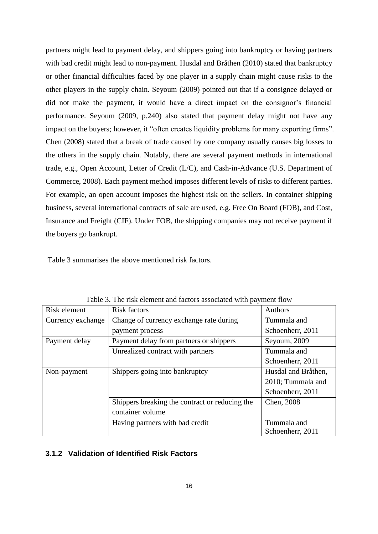partners might lead to payment delay, and shippers going into bankruptcy or having partners with bad credit might lead to non-payment. Husdal and Bråthen (2010) stated that bankruptcy or other financial difficulties faced by one player in a supply chain might cause risks to the other players in the supply chain. Seyoum (2009) pointed out that if a consignee delayed or did not make the payment, it would have a direct impact on the consignor's financial performance. Seyoum (2009, p.240) also stated that payment delay might not have any impact on the buyers; however, it "often creates liquidity problems for many exporting firms". Chen (2008) stated that a break of trade caused by one company usually causes big losses to the others in the supply chain. Notably, there are several payment methods in international trade, e.g., Open Account, Letter of Credit (L/C), and Cash-in-Advance (U.S. Department of Commerce, 2008). Each payment method imposes different levels of risks to different parties. For example, an open account imposes the highest risk on the sellers. In container shipping business, several international contracts of sale are used, e.g. Free On Board (FOB), and Cost, Insurance and Freight (CIF). Under FOB, the shipping companies may not receive payment if the buyers go bankrupt.

Table 3 summarises the above mentioned risk factors.

| Risk element      | <b>Risk factors</b>                            | Authors             |  |
|-------------------|------------------------------------------------|---------------------|--|
| Currency exchange | Change of currency exchange rate during        | Tummala and         |  |
|                   | payment process                                | Schoenherr, 2011    |  |
| Payment delay     | Payment delay from partners or shippers        | Seyoum, 2009        |  |
|                   | Unrealized contract with partners              | Tummala and         |  |
|                   |                                                | Schoenherr, 2011    |  |
| Non-payment       | Shippers going into bankruptcy                 | Husdal and Bråthen, |  |
|                   | 2010; Tummala and                              |                     |  |
|                   |                                                | Schoenherr, 2011    |  |
|                   | Shippers breaking the contract or reducing the | Chen, 2008          |  |
|                   | container volume                               |                     |  |
|                   | Having partners with bad credit                | Tummala and         |  |
|                   |                                                | Schoenherr, 2011    |  |

Table 3. The risk element and factors associated with payment flow

## **3.1.2 Validation of Identified Risk Factors**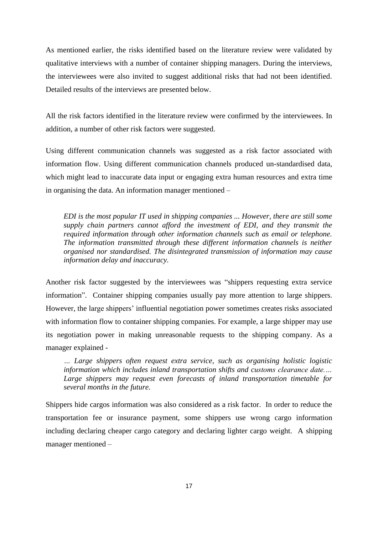As mentioned earlier, the risks identified based on the literature review were validated by qualitative interviews with a number of container shipping managers. During the interviews, the interviewees were also invited to suggest additional risks that had not been identified. Detailed results of the interviews are presented below.

All the risk factors identified in the literature review were confirmed by the interviewees. In addition, a number of other risk factors were suggested.

Using different communication channels was suggested as a risk factor associated with information flow. Using different communication channels produced un-standardised data, which might lead to inaccurate data input or engaging extra human resources and extra time in organising the data. An information manager mentioned –

*EDI is the most popular IT used in shipping companies ... However, there are still some supply chain partners cannot afford the investment of EDI, and they transmit the required information through other information channels such as email or telephone. The information transmitted through these different information channels is neither organised nor standardised. The disintegrated transmission of information may cause information delay and inaccuracy.*

Another risk factor suggested by the interviewees was "shippers requesting extra service information". Container shipping companies usually pay more attention to large shippers. However, the large shippers' influential negotiation power sometimes creates risks associated with information flow to container shipping companies. For example, a large shipper may use its negotiation power in making unreasonable requests to the shipping company. As a manager explained -

*… Large shippers often request extra service, such as organising holistic logistic information which includes inland transportation shifts and customs clearance date.… Large shippers may request even forecasts of inland transportation timetable for several months in the future.* 

Shippers hide cargos information was also considered as a risk factor. In order to reduce the transportation fee or insurance payment, some shippers use wrong cargo information including declaring cheaper cargo category and declaring lighter cargo weight. A shipping manager mentioned –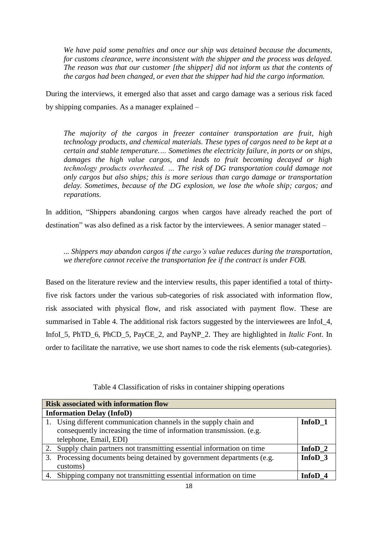*We have paid some penalties and once our ship was detained because the documents, for customs clearance, were inconsistent with the shipper and the process was delayed. The reason was that our customer [the shipper] did not inform us that the contents of the cargos had been changed, or even that the shipper had hid the cargo information.*

During the interviews, it emerged also that asset and cargo damage was a serious risk faced by shipping companies. As a manager explained –

*The majority of the cargos in freezer container transportation are fruit, high technology products, and chemical materials. These types of cargos need to be kept at a certain and stable temperature.… Sometimes the electricity failure, in ports or on ships, damages the high value cargos, and leads to fruit becoming decayed or high technology products overheated. … The risk of DG transportation could damage not only cargos but also ships; this is more serious than cargo damage or transportation delay. Sometimes, because of the DG explosion, we lose the whole ship; cargos; and reparations.*

In addition, "Shippers abandoning cargos when cargos have already reached the port of destination" was also defined as a risk factor by the interviewees. A senior manager stated –

*... Shippers may abandon cargos if the cargo's value reduces during the transportation, we therefore cannot receive the transportation fee if the contract is under FOB.*

Based on the literature review and the interview results, this paper identified a total of thirtyfive risk factors under the various sub-categories of risk associated with information flow, risk associated with physical flow, and risk associated with payment flow. These are summarised in Table 4. The additional risk factors suggested by the interviewees are InfoI 4, InfoI\_5, PhTD\_6, PhCD\_5, PayCE\_2, and PayNP\_2. They are highlighted in *Italic Font*. In order to facilitate the narrative, we use short names to code the risk elements (sub-categories).

Table 4 Classification of risks in container shipping operations

| <b>Risk associated with information flow</b>                            |           |  |  |  |  |  |
|-------------------------------------------------------------------------|-----------|--|--|--|--|--|
| <b>Information Delay (InfoD)</b>                                        |           |  |  |  |  |  |
| 1. Using different communication channels in the supply chain and       | InfoD_1   |  |  |  |  |  |
| consequently increasing the time of information transmission. (e.g.     |           |  |  |  |  |  |
| telephone, Email, EDI)                                                  |           |  |  |  |  |  |
| 2. Supply chain partners not transmitting essential information on time | $InfoD_2$ |  |  |  |  |  |
| 3. Processing documents being detained by government departments (e.g.  | InfoD 3   |  |  |  |  |  |
| customs)                                                                |           |  |  |  |  |  |
| 4. Shipping company not transmitting essential information on time      | InfoD 4   |  |  |  |  |  |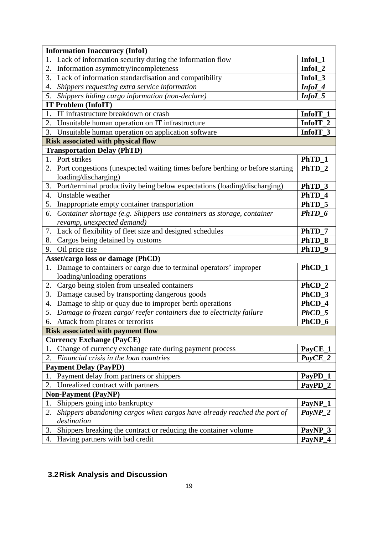|    | <b>Information Inaccuracy (InfoI)</b>                                            |                     |  |  |  |  |  |
|----|----------------------------------------------------------------------------------|---------------------|--|--|--|--|--|
|    | Lack of information security during the information flow                         | InfoI_1             |  |  |  |  |  |
| 2. | Information asymmetry/incompleteness                                             | InfoI 2             |  |  |  |  |  |
| 3. | Lack of information standardisation and compatibility                            | InfoI <sub>_3</sub> |  |  |  |  |  |
| 4. | Shippers requesting extra service information                                    | $InfoI_4$           |  |  |  |  |  |
| 5. | Shippers hiding cargo information (non-declare)                                  | $InfoI_5$           |  |  |  |  |  |
|    | IT Problem (InfoIT)                                                              |                     |  |  |  |  |  |
| 1. | IT infrastructure breakdown or crash                                             | InfoIT_1            |  |  |  |  |  |
| 2. | Unsuitable human operation on IT infrastructure                                  | InfoIT_2            |  |  |  |  |  |
|    | 3. Unsuitable human operation on application software                            | InfoIT $_3$         |  |  |  |  |  |
|    | <b>Risk associated with physical flow</b>                                        |                     |  |  |  |  |  |
|    | <b>Transportation Delay (PhTD)</b>                                               |                     |  |  |  |  |  |
|    | 1. Port strikes                                                                  | PhTD_1              |  |  |  |  |  |
|    | 2. Port congestions (unexpected waiting times before berthing or before starting | PhTD_2              |  |  |  |  |  |
|    | loading/discharging)                                                             |                     |  |  |  |  |  |
| 3. | Port/terminal productivity being below expectations (loading/discharging)        | PhTD_3              |  |  |  |  |  |
| 4. | Unstable weather                                                                 | PhTD 4              |  |  |  |  |  |
| 5. | Inappropriate empty container transportation                                     | PhTD_5              |  |  |  |  |  |
|    | 6. Container shortage (e.g. Shippers use containers as storage, container        | $PhTD_6$            |  |  |  |  |  |
|    | revamp, unexpected demand)                                                       |                     |  |  |  |  |  |
|    | 7. Lack of flexibility of fleet size and designed schedules                      | PhTD 7              |  |  |  |  |  |
| 8. | Cargos being detained by customs                                                 | PhTD 8              |  |  |  |  |  |
| 9. | Oil price rise                                                                   | PhTD_9              |  |  |  |  |  |
|    | Asset/cargo loss or damage (PhCD)                                                |                     |  |  |  |  |  |
|    | 1. Damage to containers or cargo due to terminal operators' improper             | PhCD_1              |  |  |  |  |  |
|    | loading/unloading operations                                                     |                     |  |  |  |  |  |
| 2. | Cargo being stolen from unsealed containers                                      | PhCD <sub>2</sub>   |  |  |  |  |  |
| 3. | Damage caused by transporting dangerous goods                                    | PhCD_3              |  |  |  |  |  |
| 4. | Damage to ship or quay due to improper berth operations                          | PhCD_4              |  |  |  |  |  |
| 5. | Damage to frozen cargo/ reefer containers due to electricity failure             | $PhCD_5$            |  |  |  |  |  |
| 6. | Attack from pirates or terrorists                                                | PhCD 6              |  |  |  |  |  |
|    | <b>Risk associated with payment flow</b>                                         |                     |  |  |  |  |  |
|    | <b>Currency Exchange (PayCE)</b>                                                 |                     |  |  |  |  |  |
| 1. | Change of currency exchange rate during payment process                          | PayCE_1             |  |  |  |  |  |
| 2. | Financial crisis in the loan countries                                           | $PayCE_2$           |  |  |  |  |  |
|    | <b>Payment Delay (PayPD)</b>                                                     |                     |  |  |  |  |  |
| 1. | Payment delay from partners or shippers                                          | PayPD_1             |  |  |  |  |  |
| 2. | Unrealized contract with partners                                                | PayPD_2             |  |  |  |  |  |
|    | <b>Non-Payment (PayNP)</b>                                                       |                     |  |  |  |  |  |
| 1. | Shippers going into bankruptcy                                                   | PayNP_1             |  |  |  |  |  |
| 2. | Shippers abandoning cargos when cargos have already reached the port of          | $PayNP_2$           |  |  |  |  |  |
|    | destination                                                                      |                     |  |  |  |  |  |
| 3. | Shippers breaking the contract or reducing the container volume                  | PayNP <sub>_3</sub> |  |  |  |  |  |
| 4. | Having partners with bad credit                                                  | PayNP_4             |  |  |  |  |  |

## **3.2Risk Analysis and Discussion**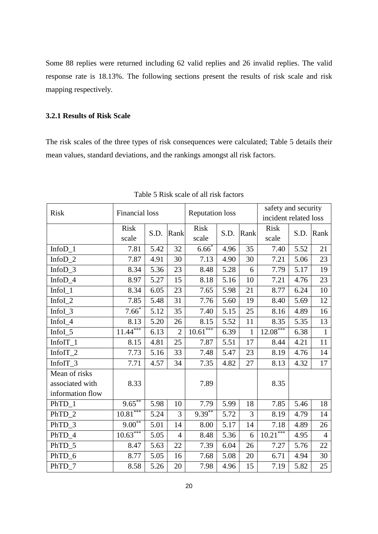Some 88 replies were returned including 62 valid replies and 26 invalid replies. The valid response rate is 18.13%. The following sections present the results of risk scale and risk mapping respectively.

## **3.2.1 Results of Risk Scale**

The risk scales of the three types of risk consequences were calculated; Table 5 details their mean values, standard deviations, and the rankings amongst all risk factors.

| <b>Financial loss</b> |                      |      |                |                          | safety and security |              |                       |      |                |
|-----------------------|----------------------|------|----------------|--------------------------|---------------------|--------------|-----------------------|------|----------------|
| <b>Risk</b>           |                      |      |                | <b>Reputation loss</b>   |                     |              | incident related loss |      |                |
|                       | <b>Risk</b><br>scale | S.D. | Rank           | <b>Risk</b><br>scale     | S.D.                | Rank         | <b>Risk</b><br>scale  | S.D. | Rank           |
| Info $D_1$            | 7.81                 | 5.42 | 32             | $6.66*$                  | 4.96                | 35           | 7.40                  | 5.52 | 21             |
| Info $D_2$            | 7.87                 | 4.91 | 30             | 7.13                     | 4.90                | 30           | 7.21                  | 5.06 | 23             |
| Info $D_3$            | 8.34                 | 5.36 | 23             | 8.48                     | 5.28                | 6            | 7.79                  | 5.17 | 19             |
| Info $D_4$            | 8.97                 | 5.27 | 15             | 8.18                     | 5.16                | 10           | 7.21                  | 4.76 | 23             |
| $Infol_1$             | 8.34                 | 6.05 | 23             | 7.65                     | 5.98                | 21           | 8.77                  | 6.24 | 10             |
| Info $I_2$            | 7.85                 | 5.48 | 31             | 7.76                     | 5.60                | 19           | 8.40                  | 5.69 | 12             |
| Info $I_3$            | $7.66*$              | 5.12 | 35             | 7.40                     | 5.15                | 25           | 8.16                  | 4.89 | 16             |
| InfoI 4               | 8.13                 | 5.20 | 26             | 8.15                     | 5.52                | 11           | 8.35                  | 5.35 | 13             |
| Info <sub>L5</sub>    | $11.44***$           | 6.13 | $\overline{2}$ | $10.\overline{61}^{***}$ | 6.39                | $\mathbf{1}$ | $12.08***$            | 6.38 | $\mathbf{1}$   |
| InfoIT $_1$           | 8.15                 | 4.81 | 25             | 7.87                     | 5.51                | 17           | 8.44                  | 4.21 | 11             |
| InfoIT_2              | 7.73                 | 5.16 | 33             | 7.48                     | 5.47                | 23           | 8.19                  | 4.76 | 14             |
| InfoIT_3              | 7.71                 | 4.57 | 34             | 7.35                     | 4.82                | 27           | 8.13                  | 4.32 | 17             |
| Mean of risks         |                      |      |                |                          |                     |              |                       |      |                |
| associated with       | 8.33                 |      |                | 7.89                     |                     |              | 8.35                  |      |                |
| information flow      |                      |      |                |                          |                     |              |                       |      |                |
| PhTD_1                | $9.65***$            | 5.98 | 10             | 7.79                     | 5.99                | 18           | 7.85                  | 5.46 | 18             |
| PhTD_2                | $10.81***$           | 5.24 | 3              | $9.39***$                | 5.72                | 3            | 8.19                  | 4.79 | 14             |
| PhTD_3                | $9.00***$            | 5.01 | 14             | 8.00                     | 5.17                | 14           | 7.18                  | 4.89 | 26             |
| PhTD_4                | $10.63***$           | 5.05 | $\overline{4}$ | 8.48                     | 5.36                | 6            | $10.21***$            | 4.95 | $\overline{4}$ |
| PhTD_5                | 8.47                 | 5.63 | 22             | 7.39                     | 6.04                | 26           | 7.27                  | 5.76 | 22             |
| PhTD 6                | 8.77                 | 5.05 | 16             | 7.68                     | 5.08                | 20           | 6.71                  | 4.94 | 30             |
| PhTD_7                | 8.58                 | 5.26 | 20             | 7.98                     | 4.96                | 15           | 7.19                  | 5.82 | 25             |

Table 5 Risk scale of all risk factors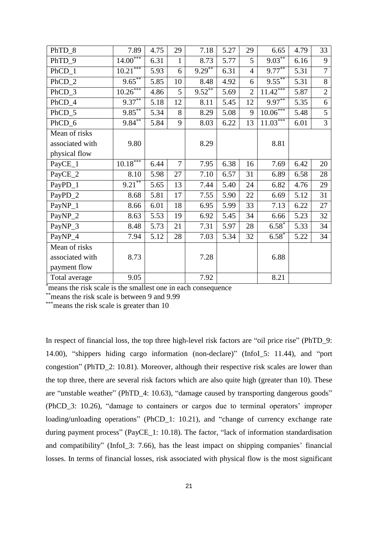| PhTD_8          | 7.89                     | 4.75 | 29             | 7.18      | 5.27 | 29             | 6.65       | 4.79 | 33             |
|-----------------|--------------------------|------|----------------|-----------|------|----------------|------------|------|----------------|
| PhTD_9          | $14.00***$               | 6.31 | $\mathbf{1}$   | 8.73      | 5.77 | 5              | $9.03***$  | 6.16 | 9              |
| $PhCD_1$        | $10.21***$               | 5.93 | 6              | $9.29***$ | 6.31 | $\overline{4}$ | $9.77***$  | 5.31 | $\overline{7}$ |
| $PhCD_2$        | $9.65***$                | 5.85 | 10             | 8.48      | 4.92 | 6              | $9.55***$  | 5.31 | 8              |
| $PhCD_3$        | $10.26***$               | 4.86 | 5              | $9.52***$ | 5.69 | $\overline{2}$ | $11.42***$ | 5.87 | $\overline{2}$ |
| PhCD_4          | $9.37***$                | 5.18 | 12             | 8.11      | 5.45 | 12             | $9.97***$  | 5.35 | 6              |
| PhCD_5          | $9.85***$                | 5.34 | 8              | 8.29      | 5.08 | 9              | $10.06***$ | 5.48 | 5              |
| PhCD_6          | $9.84***$                | 5.84 | 9              | 8.03      | 6.22 | 13             | $11.03***$ | 6.01 | 3              |
| Mean of risks   |                          |      |                |           |      |                |            |      |                |
| associated with | 9.80                     |      |                | 8.29      |      |                | 8.81       |      |                |
| physical flow   |                          |      |                |           |      |                |            |      |                |
| PayCE_1         | $10.\overline{18}^{***}$ | 6.44 | $\overline{7}$ | 7.95      | 6.38 | 16             | 7.69       | 6.42 | 20             |
| PayCE_2         | 8.10                     | 5.98 | 27             | 7.10      | 6.57 | 31             | 6.89       | 6.58 | 28             |
| PayPD_1         | $9.21***$                | 5.65 | 13             | 7.44      | 5.40 | 24             | 6.82       | 4.76 | 29             |
| PayPD_2         | 8.68                     | 5.81 | 17             | 7.55      | 5.90 | 22             | 6.69       | 5.12 | 31             |
| PayNP_1         | 8.66                     | 6.01 | 18             | 6.95      | 5.99 | 33             | 7.13       | 6.22 | 27             |
| PayNP_2         | 8.63                     | 5.53 | 19             | 6.92      | 5.45 | 34             | 6.66       | 5.23 | 32             |
| PayNP_3         | 8.48                     | 5.73 | 21             | 7.31      | 5.97 | 28             | $6.58*$    | 5.33 | 34             |
| PayNP_4         | 7.94                     | 5.12 | 28             | 7.03      | 5.34 | 32             | $6.58*$    | 5.22 | 34             |
| Mean of risks   |                          |      |                |           |      |                |            |      |                |
| associated with | 8.73                     |      |                | 7.28      |      |                | 6.88       |      |                |
| payment flow    |                          |      |                |           |      |                |            |      |                |
| Total average   | 9.05                     |      |                | 7.92      |      |                | 8.21       |      |                |

<sup>\*</sup>means the risk scale is the smallest one in each consequence

\*\*means the risk scale is between 9 and 9.99

\*\*\*\* means the risk scale is greater than 10

In respect of financial loss, the top three high-level risk factors are "oil price rise" (PhTD\_9: 14.00), "shippers hiding cargo information (non-declare)" (InfoI\_5: 11.44), and "port congestion" (PhTD\_2: 10.81). Moreover, although their respective risk scales are lower than the top three, there are several risk factors which are also quite high (greater than 10). These are "unstable weather" (PhTD\_4: 10.63), "damage caused by transporting dangerous goods" (PhCD\_3: 10.26), "damage to containers or cargos due to terminal operators' improper loading/unloading operations" (PhCD<sub>1</sub>: 10.21), and "change of currency exchange rate during payment process" (PayCE\_1: 10.18). The factor, "lack of information standardisation and compatibility" (InfoI\_3: 7.66), has the least impact on shipping companies' financial losses. In terms of financial losses, risk associated with physical flow is the most significant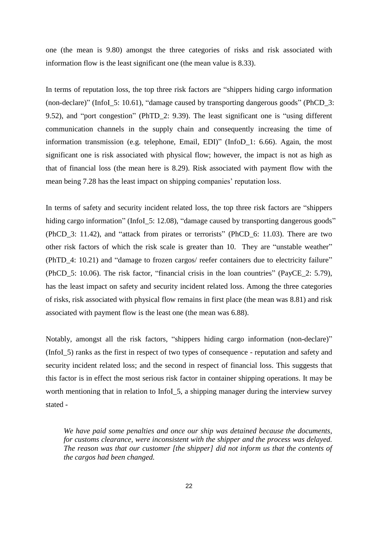one (the mean is 9.80) amongst the three categories of risks and risk associated with information flow is the least significant one (the mean value is 8.33).

In terms of reputation loss, the top three risk factors are "shippers hiding cargo information (non-declare)" (InfoI\_5: 10.61), "damage caused by transporting dangerous goods" (PhCD\_3: 9.52), and "port congestion" (PhTD\_2: 9.39). The least significant one is "using different communication channels in the supply chain and consequently increasing the time of information transmission (e.g. telephone, Email, EDI)" (InfoD\_1: 6.66). Again, the most significant one is risk associated with physical flow; however, the impact is not as high as that of financial loss (the mean here is 8.29). Risk associated with payment flow with the mean being 7.28 has the least impact on shipping companies' reputation loss.

In terms of safety and security incident related loss, the top three risk factors are "shippers hiding cargo information" (InfoI\_5: 12.08), "damage caused by transporting dangerous goods" (PhCD\_3: 11.42), and "attack from pirates or terrorists" (PhCD\_6: 11.03). There are two other risk factors of which the risk scale is greater than 10. They are "unstable weather" (PhTD\_4: 10.21) and "damage to frozen cargos/ reefer containers due to electricity failure" (PhCD\_5: 10.06). The risk factor, "financial crisis in the loan countries" (PayCE\_2: 5.79), has the least impact on safety and security incident related loss. Among the three categories of risks, risk associated with physical flow remains in first place (the mean was 8.81) and risk associated with payment flow is the least one (the mean was 6.88).

Notably, amongst all the risk factors, "shippers hiding cargo information (non-declare)" (InfoI\_5) ranks as the first in respect of two types of consequence - reputation and safety and security incident related loss; and the second in respect of financial loss. This suggests that this factor is in effect the most serious risk factor in container shipping operations. It may be worth mentioning that in relation to InfoI\_5, a shipping manager during the interview survey stated -

*We have paid some penalties and once our ship was detained because the documents, for customs clearance, were inconsistent with the shipper and the process was delayed. The reason was that our customer [the shipper] did not inform us that the contents of the cargos had been changed.*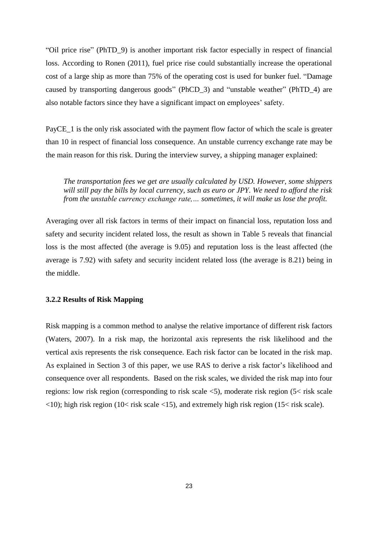"Oil price rise" (PhTD\_9) is another important risk factor especially in respect of financial loss. According to Ronen (2011), fuel price rise could substantially increase the operational cost of a large ship as more than 75% of the operating cost is used for bunker fuel. "Damage caused by transporting dangerous goods" (PhCD\_3) and "unstable weather" (PhTD\_4) are also notable factors since they have a significant impact on employees' safety.

PayCE 1 is the only risk associated with the payment flow factor of which the scale is greater than 10 in respect of financial loss consequence. An unstable currency exchange rate may be the main reason for this risk. During the interview survey, a shipping manager explained:

*The transportation fees we get are usually calculated by USD. However, some shippers will still pay the bills by local currency, such as euro or JPY. We need to afford the risk from the unstable currency exchange rate,… sometimes, it will make us lose the profit.*

Averaging over all risk factors in terms of their impact on financial loss, reputation loss and safety and security incident related loss, the result as shown in Table 5 reveals that financial loss is the most affected (the average is 9.05) and reputation loss is the least affected (the average is 7.92) with safety and security incident related loss (the average is 8.21) being in the middle.

#### **3.2.2 Results of Risk Mapping**

Risk mapping is a common method to analyse the relative importance of different risk factors (Waters, 2007). In a risk map, the horizontal axis represents the risk likelihood and the vertical axis represents the risk consequence. Each risk factor can be located in the risk map. As explained in Section 3 of this paper, we use RAS to derive a risk factor's likelihood and consequence over all respondents. Based on the risk scales, we divided the risk map into four regions: low risk region (corresponding to risk scale <5), moderate risk region (5< risk scale  $\langle 10 \rangle$ ; high risk region (10 $\langle$  risk scale  $\langle 15 \rangle$ , and extremely high risk region (15 $\langle$  risk scale).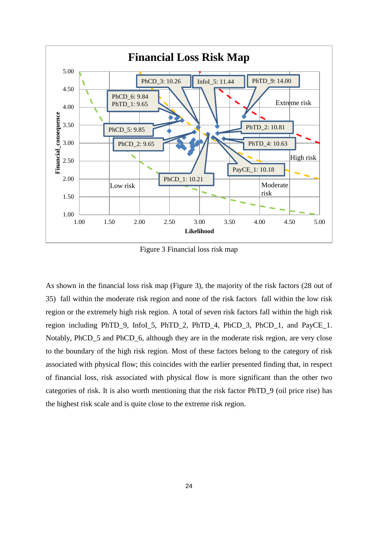

Figure 3 Financial loss risk map

As shown in the financial loss risk map (Figure 3), the majority of the risk factors (28 out of 35) fall within the moderate risk region and none of the risk factors fall within the low risk region or the extremely high risk region. A total of seven risk factors fall within the high risk region including PhTD\_9, InfoI\_5, PhTD\_2, PhTD\_4, PhCD\_3, PhCD\_1, and PayCE\_1. Notably, PhCD 5 and PhCD 6, although they are in the moderate risk region, are very close to the boundary of the high risk region. Most of these factors belong to the category of risk associated with physical flow; this coincides with the earlier presented finding that, in respect of financial loss, risk associated with physical flow is more significant than the other two categories of risk. It is also worth mentioning that the risk factor PhTD\_9 (oil price rise) has the highest risk scale and is quite close to the extreme risk region.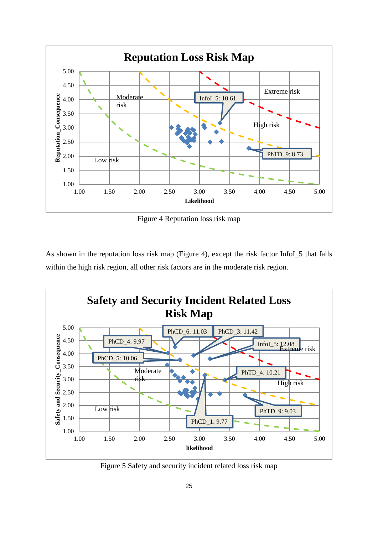

Figure 4 Reputation loss risk map

As shown in the reputation loss risk map (Figure 4), except the risk factor InfoI\_5 that falls within the high risk region, all other risk factors are in the moderate risk region.



Figure 5 Safety and security incident related loss risk map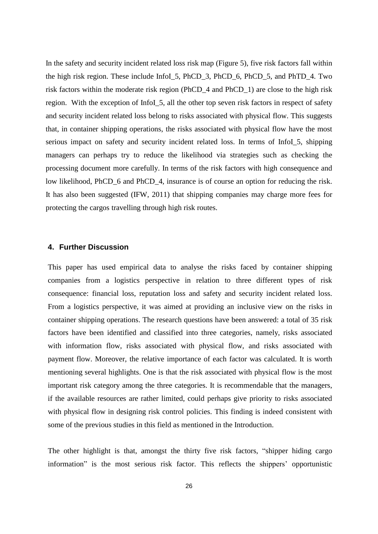In the safety and security incident related loss risk map (Figure 5), five risk factors fall within the high risk region. These include InfoI\_5, PhCD\_3, PhCD\_6, PhCD\_5, and PhTD\_4. Two risk factors within the moderate risk region (PhCD\_4 and PhCD\_1) are close to the high risk region. With the exception of InfoI\_5, all the other top seven risk factors in respect of safety and security incident related loss belong to risks associated with physical flow. This suggests that, in container shipping operations, the risks associated with physical flow have the most serious impact on safety and security incident related loss. In terms of InfoI\_5, shipping managers can perhaps try to reduce the likelihood via strategies such as checking the processing document more carefully. In terms of the risk factors with high consequence and low likelihood, PhCD\_6 and PhCD\_4, insurance is of course an option for reducing the risk. It has also been suggested (IFW, 2011) that shipping companies may charge more fees for protecting the cargos travelling through high risk routes.

## **4. Further Discussion**

This paper has used empirical data to analyse the risks faced by container shipping companies from a logistics perspective in relation to three different types of risk consequence: financial loss, reputation loss and safety and security incident related loss. From a logistics perspective, it was aimed at providing an inclusive view on the risks in container shipping operations. The research questions have been answered: a total of 35 risk factors have been identified and classified into three categories, namely, risks associated with information flow, risks associated with physical flow, and risks associated with payment flow. Moreover, the relative importance of each factor was calculated. It is worth mentioning several highlights. One is that the risk associated with physical flow is the most important risk category among the three categories. It is recommendable that the managers, if the available resources are rather limited, could perhaps give priority to risks associated with physical flow in designing risk control policies. This finding is indeed consistent with some of the previous studies in this field as mentioned in the Introduction.

The other highlight is that, amongst the thirty five risk factors, "shipper hiding cargo information" is the most serious risk factor. This reflects the shippers' opportunistic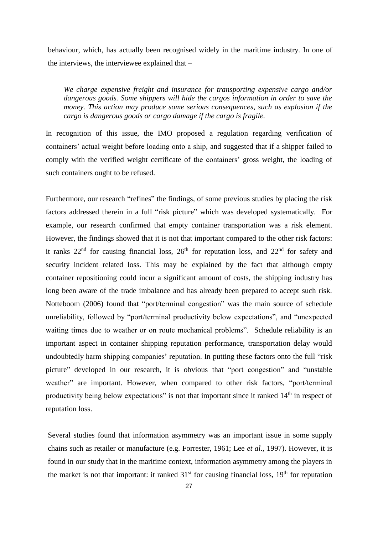behaviour, which, has actually been recognised widely in the maritime industry. In one of the interviews, the interviewee explained that –

*We charge expensive freight and insurance for transporting expensive cargo and/or dangerous goods. Some shippers will hide the cargos information in order to save the money. This action may produce some serious consequences, such as explosion if the cargo is dangerous goods or cargo damage if the cargo is fragile.*

In recognition of this issue, the IMO proposed a regulation regarding verification of containers' actual weight before loading onto a ship, and suggested that if a shipper failed to comply with the verified weight certificate of the containers' gross weight, the loading of such containers ought to be refused.

Furthermore, our research "refines" the findings, of some previous studies by placing the risk factors addressed therein in a full "risk picture" which was developed systematically. For example, our research confirmed that empty container transportation was a risk element. However, the findings showed that it is not that important compared to the other risk factors: it ranks  $22<sup>nd</sup>$  for causing financial loss,  $26<sup>th</sup>$  for reputation loss, and  $22<sup>nd</sup>$  for safety and security incident related loss. This may be explained by the fact that although empty container repositioning could incur a significant amount of costs, the shipping industry has long been aware of the trade imbalance and has already been prepared to accept such risk. Notteboom (2006) found that "port/terminal congestion" was the main source of schedule unreliability, followed by "port/terminal productivity below expectations", and "unexpected waiting times due to weather or on route mechanical problems". Schedule reliability is an important aspect in container shipping reputation performance, transportation delay would undoubtedly harm shipping companies' reputation. In putting these factors onto the full "risk picture" developed in our research, it is obvious that "port congestion" and "unstable weather" are important. However, when compared to other risk factors, "port/terminal productivity being below expectations" is not that important since it ranked 14<sup>th</sup> in respect of reputation loss.

Several studies found that information asymmetry was an important issue in some supply chains such as retailer or manufacture (e.g. Forrester, 1961; Lee *et al*., 1997). However, it is found in our study that in the maritime context, information asymmetry among the players in the market is not that important: it ranked  $31<sup>st</sup>$  for causing financial loss,  $19<sup>th</sup>$  for reputation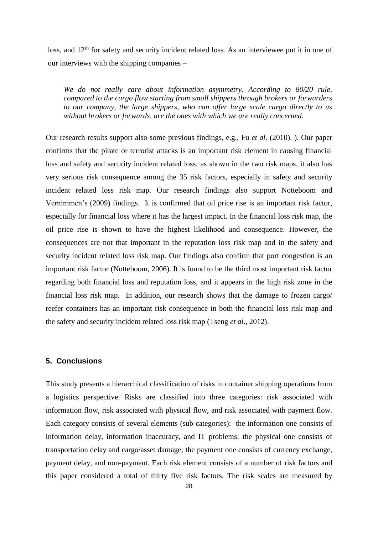loss, and 12<sup>th</sup> for safety and security incident related loss. As an interviewee put it in one of our interviews with the shipping companies –

*We do not really care about information asymmetry. According to 80/20 rule, compared to the cargo flow starting from small shippers through brokers or forwarders to our company, the large shippers, who can offer large scale cargo directly to us without brokers or forwards, are the ones with which we are really concerned.*

Our research results support also some previous findings, e.g., Fu *et al*. (2010). ). Our paper confirms that the pirate or terrorist attacks is an important risk element in causing financial loss and safety and security incident related loss; as shown in the two risk maps, it also has very serious risk consequence among the 35 risk factors, especially in safety and security incident related loss risk map. Our research findings also support Notteboom and Vernimmen's (2009) findings. It is confirmed that oil price rise is an important risk factor, especially for financial loss where it has the largest impact. In the financial loss risk map, the oil price rise is shown to have the highest likelihood and consequence. However, the consequences are not that important in the reputation loss risk map and in the safety and security incident related loss risk map. Our findings also confirm that port congestion is an important risk factor (Notteboom, 2006). It is found to be the third most important risk factor regarding both financial loss and reputation loss, and it appears in the high risk zone in the financial loss risk map. In addition, our research shows that the damage to frozen cargo/ reefer containers has an important risk consequence in both the financial loss risk map and the safety and security incident related loss risk map (Tseng *et al*., 2012).

## **5. Conclusions**

This study presents a hierarchical classification of risks in container shipping operations from a logistics perspective. Risks are classified into three categories: risk associated with information flow, risk associated with physical flow, and risk associated with payment flow. Each category consists of several elements (sub-categories): the information one consists of information delay, information inaccuracy, and IT problems; the physical one consists of transportation delay and cargo/asset damage; the payment one consists of currency exchange, payment delay, and non-payment. Each risk element consists of a number of risk factors and this paper considered a total of thirty five risk factors. The risk scales are measured by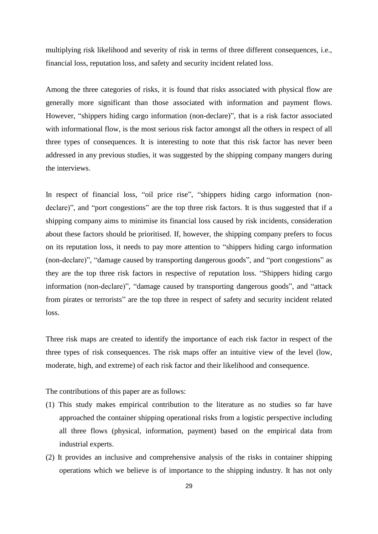multiplying risk likelihood and severity of risk in terms of three different consequences, i.e., financial loss, reputation loss, and safety and security incident related loss.

Among the three categories of risks, it is found that risks associated with physical flow are generally more significant than those associated with information and payment flows. However, "shippers hiding cargo information (non-declare)", that is a risk factor associated with informational flow, is the most serious risk factor amongst all the others in respect of all three types of consequences. It is interesting to note that this risk factor has never been addressed in any previous studies, it was suggested by the shipping company mangers during the interviews.

In respect of financial loss, "oil price rise", "shippers hiding cargo information (nondeclare)", and "port congestions" are the top three risk factors. It is thus suggested that if a shipping company aims to minimise its financial loss caused by risk incidents, consideration about these factors should be prioritised. If, however, the shipping company prefers to focus on its reputation loss, it needs to pay more attention to "shippers hiding cargo information (non-declare)", "damage caused by transporting dangerous goods", and "port congestions" as they are the top three risk factors in respective of reputation loss. "Shippers hiding cargo information (non-declare)", "damage caused by transporting dangerous goods", and "attack from pirates or terrorists" are the top three in respect of safety and security incident related loss.

Three risk maps are created to identify the importance of each risk factor in respect of the three types of risk consequences. The risk maps offer an intuitive view of the level (low, moderate, high, and extreme) of each risk factor and their likelihood and consequence.

The contributions of this paper are as follows:

- (1) This study makes empirical contribution to the literature as no studies so far have approached the container shipping operational risks from a logistic perspective including all three flows (physical, information, payment) based on the empirical data from industrial experts.
- (2) It provides an inclusive and comprehensive analysis of the risks in container shipping operations which we believe is of importance to the shipping industry. It has not only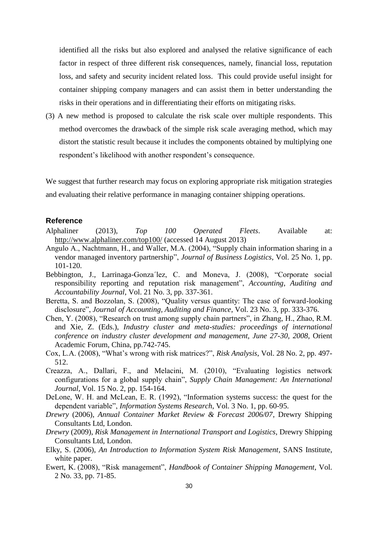identified all the risks but also explored and analysed the relative significance of each factor in respect of three different risk consequences, namely, financial loss, reputation loss, and safety and security incident related loss. This could provide useful insight for container shipping company managers and can assist them in better understanding the risks in their operations and in differentiating their efforts on mitigating risks.

(3) A new method is proposed to calculate the risk scale over multiple respondents. This method overcomes the drawback of the simple risk scale averaging method, which may distort the statistic result because it includes the components obtained by multiplying one respondent's likelihood with another respondent's consequence.

We suggest that further research may focus on exploring appropriate risk mitigation strategies and evaluating their relative performance in managing container shipping operations.

#### **Reference**

- Alphaliner (2013), *Top 100 Operated Fleets*. Available at: <http://www.alphaliner.com/top100/> (accessed 14 August 2013)
- Angulo A., Nachtmann, H., and Waller, M.A. (2004), ["Supply chain](http://onlinelibrary.wiley.com/doi/10.1002/j.2158-1592.2004.tb00171.x/full) information sharing in a [vendor managed inventory partnership"](http://onlinelibrary.wiley.com/doi/10.1002/j.2158-1592.2004.tb00171.x/full), *Journal of Business Logistics*, Vol. 25 No. 1, pp. 101-120.
- Bebbington, J., Larrinaga-Gonza´lez, C. and Moneva, J. (2008), "Corporate social responsibility reporting and reputation risk management", *Accounting, Auditing and Accountability Journal*, Vol. 21 No. 3, pp. 337-361.
- Beretta, S. and Bozzolan, S. (2008), "Quality versus quantity: The case of forward-looking disclosure", *Journal of Accounting, Auditing and Finance*, Vol. 23 No. 3, pp. 333-376.
- Chen, Y. (2008), "Research on trust among supply chain partners", in Zhang, H., Zhao, R.M. and Xie, Z. (Eds.), *Industry cluster and meta-studies: proceedings of international conference on industry cluster development and management, June 27-30, 2008*, Orient Academic Forum, China, pp.742-745.
- Cox, L.A. (2008), "What's wrong with risk matrices?", *Risk Analysis*, Vol. 28 No. 2, pp. 497- 512.
- Creazza, A., Dallari, F., and Melacini, M. (2010), "Evaluating logistics network configurations for a global supply chain", *Supply Chain Management: An International Journal*, Vol. 15 No. 2, pp. 154-164.
- DeLone, W. H. and McLean, E. R. (1992), "Information systems success: the quest for the dependent variable", *Information Systems Research*, Vol. 3 No. 1, pp. 60-95.
- *Drewry* (2006), *Annual Container Market Review & Forecast 2006/07*, Drewry Shipping Consultants Ltd, London.
- *Drewry* (2009), *Risk Management in International Transport and Logistics*, Drewry Shipping Consultants Ltd, London.
- Elky, S. (2006), *An Introduction to Information System Risk Management*, SANS Institute, white paper.
- Ewert, K. (2008), "Risk management", *Handbook of Container Shipping Management*, Vol. 2 No. 33, pp. 71-85.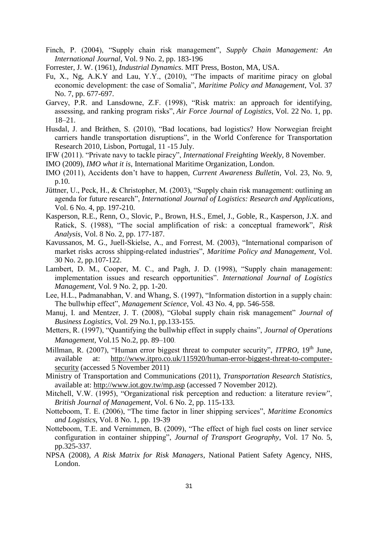Finch, P. (2004), "Supply chain risk management", *Supply Chain Management: An International Journal*, Vol. 9 No. 2, pp. 183-196

- Fu, X., Ng, A.K.Y and Lau, Y.Y., (2010), "The impacts of maritime piracy on global economic development: the case of Somalia", *Maritime Policy and Management*, Vol. 37 No. 7, pp. 677-697.
- Garvey, P.R. and Lansdowne, Z.F. (1998), "Risk matrix: an approach for identifying, assessing, and ranking program risks", *Air Force Journal of Logistics*, Vol. 22 No. 1, pp. 18–21.
- Husdal, J. and Bråthen, S. (2010), "Bad locations, bad logistics? How Norwegian freight carriers handle transportation disruptions", in the World Conference for Transportation Research 2010, Lisbon, Portugal, 11 -15 July.
- IFW (2011). "Private navy to tackle piracy", *International Freighting Weekly*, 8 November.
- IMO (2009), *IMO what it is*, International Maritime Organization, London.
- IMO (2011), Accidents don't have to happen, *Current Awareness Bulletin*, Vol. 23, No. 9, p.10.
- Jüttner, U., Peck, H., & Christopher, M. (2003), "Supply chain risk management: outlining an agenda for future research", *International Journal of Logistics: Research and Applications*, Vol. 6 No. 4, pp. 197-210.
- Kasperson, R.E., Renn, O., Slovic, P., Brown, H.S., Emel, J., Goble, R., Kasperson, J.X. and Ratick, S. (1988), "The social amplification of risk: a conceptual framework", *Risk Analysis*, Vol. 8 No. 2, pp. 177-187.
- Kavussanos, M. G., Juell-Skielse, A., and Forrest, M. (2003), "International comparison of market risks across shipping-related industries", *Maritime Policy and Management*, Vol. 30 No. 2, pp.107-122.
- Lambert, D. M., Cooper, M. C., and Pagh, J. D. (1998), "Supply chain management: implementation issues and research opportunities". *International Journal of Logistics Management*, Vol. 9 No. 2, pp. 1-20.
- Lee, H.L., Padmanabhan, V. and Whang, S. (1997), "Information distortion in a supply chain: The bullwhip effect", *Management Science*, Vol. 43 No. 4, pp. 546-558.
- Manuj, I. and Mentzer, J. T. (2008), "Global supply chain risk management" *Journal of Business Logistics*, Vol. 29 No.1, pp.133-155.
- Metters, R. (1997), "Quantifying the bullwhip effect in supply chains", *Journal of Operations Management*, Vol.15 No.2, pp. 89–100.
- Millman, R. (2007), "Human error biggest threat to computer security", *ITPRO*, 19<sup>th</sup> June, available at: [http://www.itpro.co.uk/115920/human-error-biggest-threat-to-computer](http://www.itpro.co.uk/115920/human-error-biggest-threat-to-computer-security)[security](http://www.itpro.co.uk/115920/human-error-biggest-threat-to-computer-security) (accessed 5 November 2011)
- Ministry of Transportation and Communications (2011), *Transportation Research Statistics*, available at:<http://www.iot.gov.tw/mp.asp> (accessed 7 November 2012).
- Mitchell, V.W. (1995), "Organizational risk perception and reduction: a literature review", *British Journal of Management*, Vol. 6 No. 2, pp. 115-133.
- Notteboom, T. E. (2006), "The time factor in liner shipping services", *Maritime Economics and Logistics*, Vol. 8 No. 1, pp. 19-39
- Notteboom, T.E. and Vernimmen, B. (2009), "The effect of high fuel costs on liner service configuration in container shipping", *Journal of Transport Geography*, Vol. 17 No. 5, pp.325-337.
- NPSA (2008), *A Risk Matrix for Risk Managers*, National Patient Safety Agency, NHS, London.

Forrester, J. W. (1961), *Industrial Dynamics*. MIT Press, Boston, MA, USA.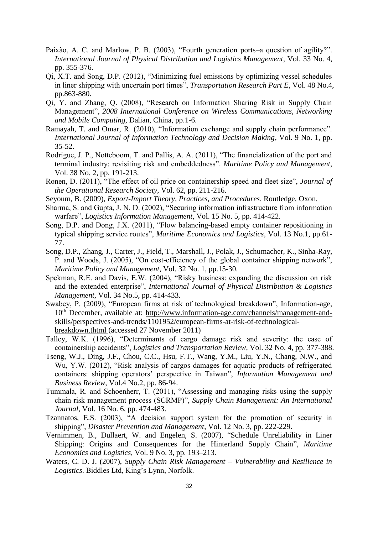- Paixão, A. C. and Marlow, P. B. (2003), "Fourth generation ports–a question of agility?". *International Journal of Physical Distribution and Logistics Management*, Vol. 33 No. 4, pp. 355-376.
- Qi, X.T. and Song, D.P. (2012), "Minimizing fuel emissions by optimizing vessel schedules in liner shipping with uncertain port times", *Transportation Research Part E*, Vol. 48 No.4, pp.863-880.
- Qi, Y. and Zhang, Q. (2008), "Research on Information Sharing Risk in Supply Chain Management", *2008 International Conference on Wireless Communications, Networking and Mobile Computing*, Dalian, China, pp.1-6.
- Ramayah, T. and Omar, R. (2010), "Information exchange and supply chain performance". *International Journal of Information Technology and Decision Making*, Vol. 9 No. 1, pp. 35-52.
- Rodrigue, J. P., Notteboom, T. and Pallis, A. A. (2011), "The financialization of the port and terminal industry: revisiting risk and embeddedness". *Maritime Policy and Management*, Vol. 38 No. 2, pp. 191-213.
- Ronen, D. (2011), "The effect of oil price on containership speed and fleet size", *Journal of the Operational Research Society*, Vol. 62, pp. 211-216.
- Seyoum, B. (2009), *Export-Import Theory, Practices, and Procedures*. Routledge, Oxon.
- Sharma, S. and Gupta, J. N. D. (2002), "Securing information infrastructure from information warfare", *Logistics Information Management*, Vol. 15 No. 5, pp. 414-422.
- Song, D.P. and Dong, J.X. (2011), "Flow balancing-based empty container repositioning in typical shipping service routes", *Maritime Economics and Logistics*, Vol. 13 No.1, pp.61- 77.
- Song, D.P., Zhang, J., Carter, J., Field, T., Marshall, J., Polak, J., Schumacher, K., Sinha-Ray, P. and Woods, J. (2005), "On cost-efficiency of the global container shipping network", *Maritime Policy and Management*, Vol. 32 No. 1, pp.15-30.
- Spekman, R.E. and Davis, E.W. (2004), "Risky business: expanding the discussion on risk and the extended enterprise", *International Journal of Physical Distribution & Logistics Management*, Vol. 34 No.5, pp. 414-433.
- Swabey, P. (2009), "European firms at risk of technological breakdown", Information-age, 10th December, available at: [http://www.information-age.com/channels/management-and](http://www.information-age.com/channels/management-and-skills/perspectives-and-trends/1101952/european-firms-at-risk-of-technological-breakdown.thtml)[skills/perspectives-and-trends/1101952/european-firms-at-risk-of-technological](http://www.information-age.com/channels/management-and-skills/perspectives-and-trends/1101952/european-firms-at-risk-of-technological-breakdown.thtml)[breakdown.thtml](http://www.information-age.com/channels/management-and-skills/perspectives-and-trends/1101952/european-firms-at-risk-of-technological-breakdown.thtml) (accessed 27 November 2011)
- Talley, W.K. (1996), "Determinants of cargo damage risk and severity: the case of containership accidents", *Logistics and Transportation Review*, Vol. 32 No. 4, pp. 377-388.
- Tseng, W.J., Ding, J.F., Chou, C.C., Hsu, F.T., Wang, Y.M., Liu, Y.N., Chang, N.W., and Wu, Y.W. (2012), "Risk analysis of cargos damages for aquatic products of refrigerated containers: shipping operators' perspective in Taiwan", *Information Management and Business Review*, Vol.4 No.2, pp. 86-94.
- Tummala, R. and Schoenherr, T. (2011), "Assessing and managing risks using the supply chain risk management process (SCRMP)", *Supply Chain Management: An International Journal*, Vol. 16 No. 6, pp. 474-483.
- Tzannatos, E.S. (2003), "A decision support system for the promotion of security in shipping", *Disaster Prevention and Management*, Vol. 12 No. 3, pp. 222-229.
- Vernimmen, B., Dullaert, W. and Engelen, S. (2007), "Schedule Unreliability in Liner Shipping: Origins and Consequences for the Hinterland Supply Chain", *Maritime Economics and Logistics*, Vol. 9 No. 3, pp. 193–213.
- Waters, C. D. J. (2007), *Supply Chain Risk Management – Vulnerability and Resilience in Logistics*. Biddles Ltd, King's Lynn, Norfolk.